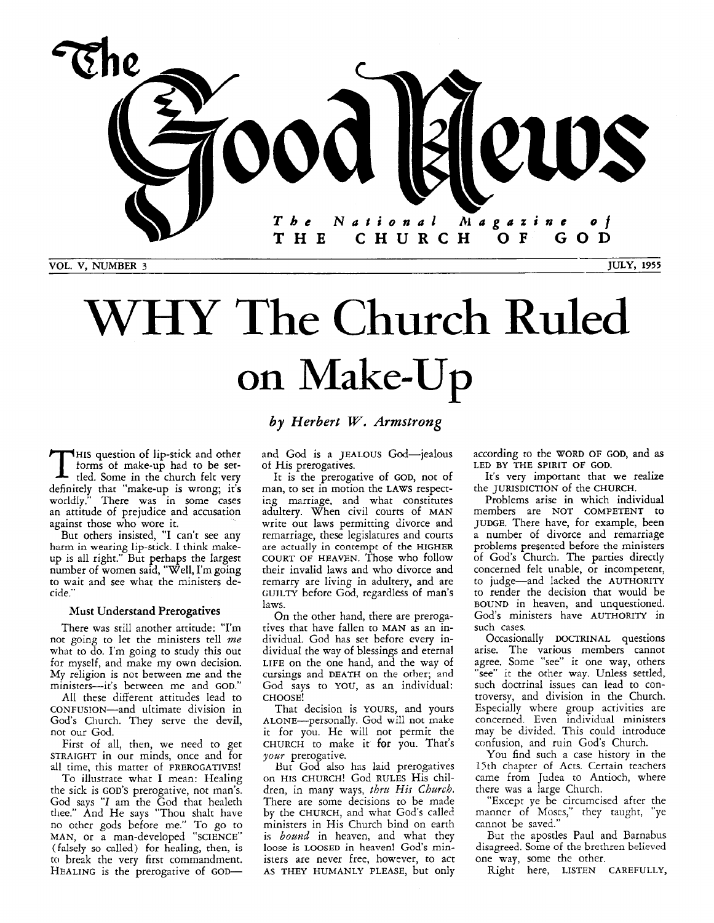

# WHY The Church Ruled on Make-Up

*by Herbert W, Armstrong* 

THIS question of lip-stick and other<br>torms of make-up had to be set-<br>tled. Some in the church felt very forms of make-up had to be settled. Some in the church felt very definitely that "make-up is wrong; it's worldly." There was in some cases an attitude of prejudice and accusation against those who wore it.

But others insisted, "I can't see any harm in wearing lip-stick. I think makeup is all right." But perhaps the largest number of women said, "Well, I'm going to wait and see what the ministers decide."

## Must Understand Prerogatives

There was still another attitude: "I'm not going to let the ministers tell *me*  what to do. I'm going to study this out for myself, and make my own decision. My religion is not between me and the ministers-it's between me and GOD."

All these different attitudes lead to CONFUSION-and ultimate division in God's Church. They serve the devil, not our God.

First of all, then, we need to get STRAIGHT in our minds, once and for all time, this matter of PREROGATIVES!

To illustrate what I mean: Healing the sick is GOD'S prerogative, not man's. God says "I am the God that healeth thee." And He says "Thou shalt have no other gods before me." To go to MAN, or a man-developed "SCIENCE" (falsely so called) for healing, then, is to break the very first commandment. HEALING is the prerogative of GOD-

and God is a JEALOUS God-jealous of His prerogatives.

It is the prerogative of GOD, not of man, to set in motion the LAWS respecting marriage, and what constitutes adultery. When civil courts of MAN write out laws permitting divorce and<br>remarriage, these legislatures and courts are actually in contempt of the HIGHER COURT OF HEAVEN. Those who follow their invalid laws and who divorce and remarry are living in adultery, and are GUILTY before *God,* regardless of man's laws.

On the other hand, there are prerogatives that have fallen to MAN as an individual. God has set before every individual the way of blessings and eternal LIFE on the one hand, and the way of cusings and DEATH on the other; and God says to **YOU,** as an individual: CHOOSE!

That decision is YOURS, and yours ALONE-personally. God will not make it for you. He will not permit the CHURCH to make it for you. That's *your* prerogative.

But God also has laid prerogatives on HIS CHURCH! God RULES His children, in many ways, *thru His Church*. There are some decisions to be made by the CHURCH, and what God's called ministers in His Church bind on earth is *bomd* in heaven, and what they loose is LOOSED in heaven! God's ministers are never free, however, to act AS THEY HUMANLY PLEASE, but only

according to the **WORD** OF **GOD,** and **as**  LED BY THE SPIRIT OF GOD.

It's very important that we realize the JURISDICTION of the CHURCH.

Problems arise in which individual members are NOT COMPETENT to JUDGE. There have, for example, been a number of divorce and remarriage problems presented before the ministers of God's Church. The parties directly concerned felt unable, or incompetent, to judge-and lacked the AUTHORITY to render the decision that would be BOUND in heaven, and unquestioned. God's ministers have AUTHORITY in such cases.

Occasionally DOCTRINAL questions arise. The various members cannot agree. Some "see" it one way, others "see" it the other way. Unless settled, such doctrinal issues can lead to controversy, and division in the Church. Especially where group activities are concerned. Even individual ministers may be divided. This could introduce confusion, and ruin God's Church.

You find such a case history in the 15th chapter of Acts. Certain teachers came from Judea to Antioch, where there was a large Church.

"Except ye be circumcised after the manner of Moses," they taught, "ye cannot be saved."

But the apostles Paul and Barnabus disagreed. Some of the brethren believed one way, some the other.

Right here, LISTEN CAREFULLY,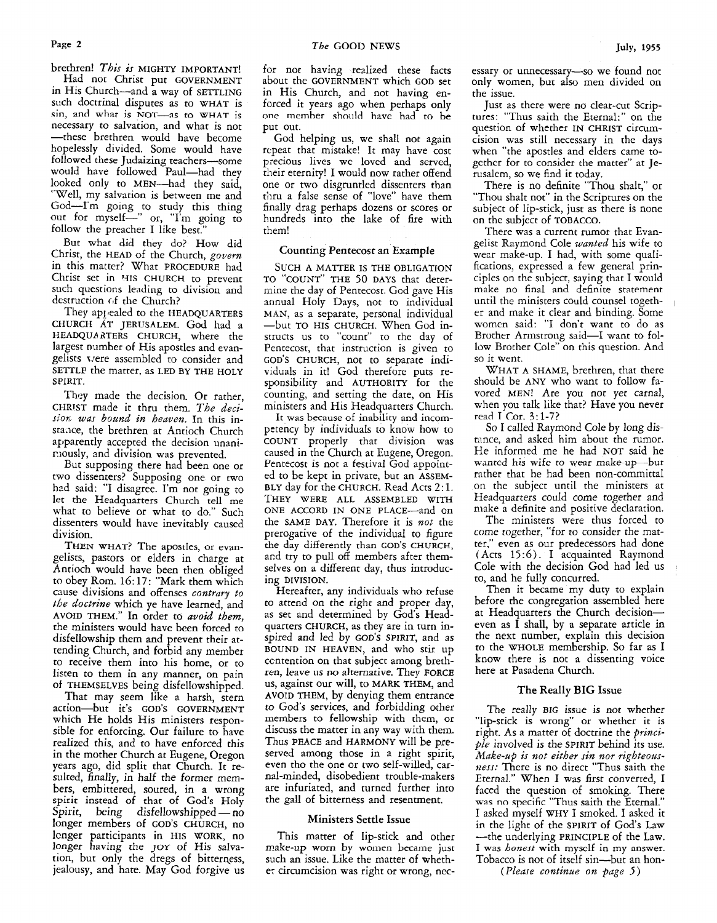brethren! *This is* MIGHTY IMPORTANT!

Had not Christ put GOVERNMENT in His Church-and a way of SETTLING such doctrinal disputes as to WHAT is necessary to salvation, and what is not -these brethren would have become hopelessly divided. Some would have followed these Judaizing teachers-some would have followed Paul-had they looked only to MEN-had they said, "Well, my salvation is between me and God-I'm going to study this thing out for myself-" or, "I'm going to follow the preacher I like best." sin, and whar **is NOT-as** to **WHAT** *is* 

But what did they do? How did Christ, the HEAD of the Church, *govern*  in this matter? What PROCEDURE had Christ set in HIS CHURCH to prevent such questions leading to division and destruction of the Church?

They appealed to the HEADQUARTERS CHURCH AT JERUSALEM. God had a HEADQUAATERS CHURCH, where the largest number of His apostles and evangelists vere assembled to consider and SETTLF the matter, as LED BY THE HOLY SPIRIT.

They made the decision. Or rather, CHRIST made it thru them. *The deci-S~OK was bound in heaven.* In this instaxe, the brethren at Antioch Church apparently accepted the decision unanir.iously, and division was prevented.

But supposing there had been one or two dissenters? Supposing one or two had said: "I disagree. I'm not going to let the Headquarters Church tell me what to believe or what to do." Such dissenters would have inevitably caused division.

**THEN WHAT? The** apostles, or cvangelists, pastors or elders in charge at Antioch would have been then obliged to obey Rom. 16: 17: "Mark them which cause divisions and offenses *contrary to the doctrine* which ye have learned, and AVOID THEM." In order to *avoid them,*  the ministers would have been forced to disfellowship them and prevent their attending Church, and forbid any member to receive them into his home, or to listen to them in any manner, on pain of THEMSELVES being disfellowshipped.

That may seem like a harsh, stern action-but it's GOD'S GOVERNMENT which He holds His ministers responsible for enforcing. Our failure to have realized this, and to have enforced this in the mother Church at Eugene, Oregon years ago, did split that Church. It resulted, finally, in half the former members, embittered, soured, in a wrong spirit instead of that of God's Holy bers, embittered, soured, in a wrong<br>spirit instead of that of God's Holy<br>Spirit, being disfellowshipped — no longer members of GOD'S CHURCH, no lcnger participants in HIS WORK, no longer having the **JOY** of His salvation, but only the dregs of bitterness, jealousy, and hate. May God forgive us

for not having realized these facts about the GOVERNMENT which GOD set in His Church, and not having enforced it years ago when perhaps only one member should have had to be put out.

God helping us, we shall not again repeat that mistake! It may have cost precious livcs wc lovcd and served, their eternity! I would now rather offend one or two disgruntled dissenters than thru a false sense of "love" have them finally drag perhaps dozens or scores or hundreds into the lake of fire with them!

## Counting Pentecost an Example

SUCH A MATTER **IS** THE OBLIGATION TO "COUNT" THE *50* DAYS that determine the day of Pentecost. God gave His annual Holy Days, not to individual **MAN,** as a separate, personal individual -but TO HIS CHURCH. When God instructs us to "count" to the diy of Pentecost, that instruction is given to GOD'S CHURCH, not to separate individuals in it! God therefore puts responsibility and AUTHORITY for the counting, and setting the date, on His ministers and His Headquarters Church.

It was because of inability and incompetency by individuals to know how to COUNT properly that division was caused in the Church at Eugene, Oregon. Pentecost is not a festival God appointed to be kept in private, but an ASSEM-BLY day for the CHURCH. Read Acts **2:l.**  THEY WERE ALL ASSEMBLED WITH ONE ACCORD IN ONE PLACE-and on the SAME DAY. Therefore it is *not* the prerogative of the individual to figure the day differently than **GOD'S CHURCH,**  and try to pull off members after themselves on a different day, thus introducing DIVISION.

Hereafter, any individuals who refuse to attend on the right and proper day, as set and determined by God's Headquarters CHURCH, as they are in turn inspired and led by GOD'S SPIRIT, and as BOUND IN HEAVEN, and who stir up ccntention on that subject among brethren, leave *us* no alternative. They FORCE us, against our will, to MARK THEM, and AVOID THEM, by denying them entrance to God's services, and forbidding other members to fellowship with them, or discuss the matter in any way with them. Thus PEACE and HARMONY **will** be preserved among those in a right spirit, even tho the one or two self-willed, carnal-minded, disobedient trouble-makers are infuriated, and turned further into the gall of bitterness and resentment.

## Ministers Settle Issue

This matter of lip-stick and other make-up worn by women became just such **an** issue. Like the matter of whethet circumcision was right or wrong, necessary or unnecessary-so we found not only women, but also men divided on the issue.

Just as there were no clear-cut Scriptures: "Thus saith the Eternal:" on the question of whether IN CHRIST circumcision was still necessary in the days when "the apostles and elders came together for to consider the matter" at Jerusalem, so we find it today.

There is no definite "Thou shalt," or "Thou shalt not" in the Scriptures on the subject of lip-stick, just as there is none on the subject of TOBACCO.

There was a current rumor that Evangelist Raymond Cole *wanted* his wife to wezr make-up. I had, with some qualifications, expressed a few general principles on the subject, saying that I would make no final and definite statement until the ministers could counsel together and make it clear and binding. Some women said: "I don't want to do as Brother Armstrong said-I want to follow Brother Cole" on this question. And so it went.

WHAT A SHAME, brethren, that there should be ANY who want to follow favored MEN! Are you not yet carnal, when you talk like that? Have you never read **1** Cor. 3:l-7?

So I called Raymond Cole by long distince, and asked him about the rumor. He informed me he had NOT said he wantcd **his** wife to wear make-up-but rather that he had been non-committal on the subject until the ministers at Headquarters could come together and make a definite and positive declaration.

The ministers were thus forced to come together, "for to consider the matter," even as our predecessors had done (Acts 15:6). I acquainted Raymond Cole with the decision God had led us to, and he ful!y concurred.

Then it became my duty to explain before the congregation assembled here at Headquarters the Church decisioneven as  $\overline{I}$  shall, by a separate article in the next number, explain this decision to the WHOLE membership. *So* far as I know there is not a dissenting voice here at Pasadena Church.

## **The** Really **BIG** Issue

The really BIG issue is not whether "lip-stick is wrong'' or whether it is right. As a matter of doctrine the *principle* involved is the SPIRIT behind its use. *Make-up is not either sin nor righteousness:* There is no direct "Thus saith the Eternal." When I was first converted, I faced the question of smoking. There was no specific "Thus saith the Eternal." I asked myself WHY I smoked. I asked it in the light of the SPIRIT of God's Law -the underlying PRINCIPLE of the Law. **I** was *honest* with mysclf in my answer. Tobacco is not of itself sin--but an hon-

*(Please continue on page* J )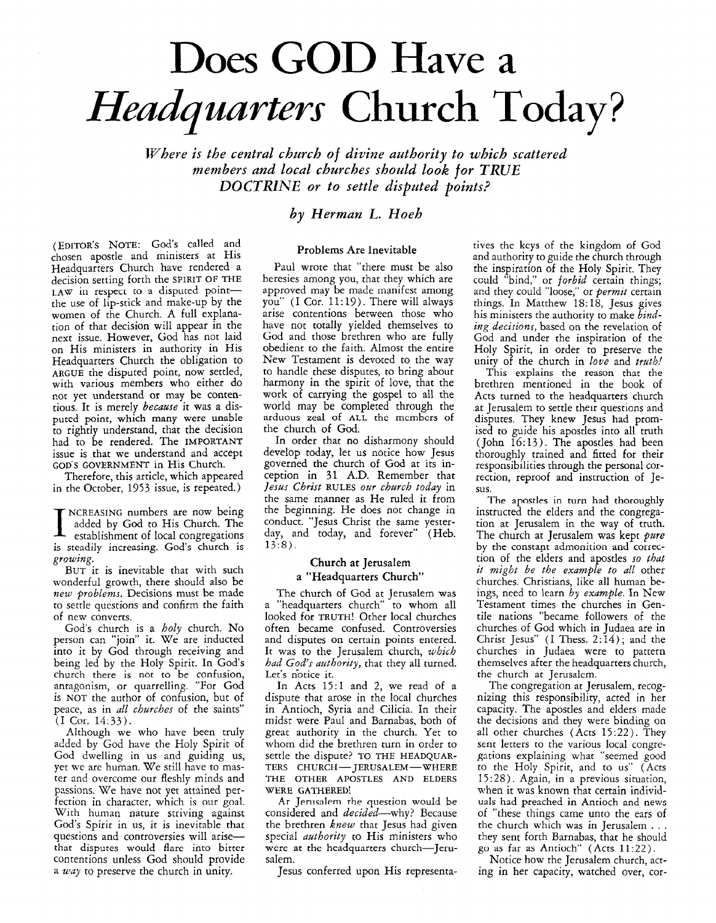# Does GOD Have <sup>a</sup> *Headquarters* Church Today?

*Where is the central church* of *divine authority to which scattered members and local churches should look for TRUE DOCTRINE or to settle disputed points?* 

## *by Herman L. Hoeh*

(EDITOR'S NOTE: God's called and chosen apostle and ministers at His Headquarters Church have rendered a decision setting forth the SPIRIT OF THE LAW in respect to a disputed pointthe use of lip-stick and make-up by the women of the Church. A full explanation of that decision will appear in the next issue. However, God has not laid on His ministers in authority in His Headquarters Church the obligation to ARGUE the disputed point, now settled, with various members who either do not yet understand or may be contentious. It is merely because it was a disputed point, which many were unable to rightly understand, that the decision had to be rendered. The IMPORTANT issue is that we understand and accept GOD'S GOVERNMENT in His Church.

Therefore, this article, which appeared in the October, 1953 issue, is repeated.)

NCREASING numbers are now being<br>
added by God to His Church. The<br>
establishment of local congregations<br>
is steadily increasing God's church is is steadily increasing. God's church is growing.

BUT it is inevitable that with such wonderful growth, there should also be new problems. Decisions must be made to settle questions and confirm the faith of new converts.

God's church is a *holy* church. No person can "join" it. We are inducted into it by God through receiving and being led by the Holy Spirit. In God's church there is not to be confusion, antagonism, or quarrelling. "For God is NOT the author of confusion, but of peace, as in all churches of the saints" (I Cor. *14.33).* 

Although we who have been truly added by God have the Holy Spirit of God dwelling in us and guiding us, yet we are human. We still have to master and overcome our fleshly minds and passions. We have not yet attained perfection in character, which is our goal. With human nature striving against God's Spirit in us, it is inevitable that questions and controversies will arisethat disputes would flare into bitter contentions unless God should provide a way to preserve the church in unity.

## Problems Are Inevitable

Paul wrote that "there must be also heresies among you, that they which are approved may be made manifest among you" (I Cor. 11:19). There will always arise contentions between those who have not totally yielded themselves to God and those brethren who are fully obedient to the faith. Almost the entire New Testament is devoted to the way to handle these disputes, to bring about harmony in the spirit of love, that the work of carrying the gospel to all the world may be completed through the arduous zed of ALL the mcmbcrs of the church of *God.* 

In order that no disharmony should develop today, let us notice how Jesus governed the church of God at its inception in 31 A.D. Remember that Jesus Christ RULES our church today in the same manner as He ruled it from the beginning. He does not change in conduct. "Jesus Christ the same yesterday, and today, and forever" (Heb. **13:s).** 

## Church **at** Jerusalem a "Headquarters Church"

The church of God at Jerusalem was a "headquarters church" to whom all looked for TRUTH! Other local churches often became confused. Controversies and disputes on certain points entered. It was to the Jerusalem church, which had *God's* authority, that they all turned. Let's notice it.

In Acts 15:l and 2, we read of a dispute that arose in the local churches in Antioch, Syria and Cilicia. In their midst were Paul and Barnabas, both of great authority in the church. Yet to whom did the brethren turn in order to settle the dispute? TO THE HEADQUAR-TERS CHURCH- JERUSALEM-WHERE THE OTHER APOSTLES AND ELDERS WERE GATHERED!

*At* Jemsalem rhe question would be considered and decided-why? Because the brethren knew that Jesus had given<br>special *authority* to His ministers who were at the headquarters church-Jeru-Salem.

Jesus conferred upon His representa-

tives the keys of the kingdom of God and authority to guide the church through the inspiration of the Holy Spirit. They could "bind," or forbid certain things; and they could "loose," or *permit* certain things. In Matthew 18:18, Jesus gives his ministers the authority to make bind*ing* decisions, based on the revelation of God and under the inspiration of the Holy Spirit, in order to preserve the unity of the church in love and truth!

This explains the reason that the brethren mentioned in the book of Acts turned to the headquarters church at Jerusalem to settle their questions and disputes. They knew Jesus had promised to guide his apostles into all truth (John 16:13). The apostles had been thoroughly trained and fitted for their responsibilities through the personal correction, reproof and instruction of Jesus.

The **apostles** in turn had thoroughly instructed the elders and the congregation at Jerusalem in the way of truth. The church at Jerusalem was kept pure by the constapt admonition and correction of the elders and apostles *50* that it might be the example *to* all other churches. Christians, like all human beings, need to learn by example. In New Testament times the churches in Gentile nations "became followers of the churches of God which in Judaea are in Christ Jesus" (I Thess. *2:14);* and the churches in Judaea were to pattern themselves after the headquarters church, the church at Jerusalem.

The congregation at Jerusalem, recognizing this responsibility, acted in her capacity. The apostles and elders made the decisions and they were binding on all other churches (Acts 15:22). They sent letters to the various local congregations explaining what "seemed good to the Holy Spirit, and to us" (Acts 15:28). Again, in a previous situation, when it was known that certain individuals had preached in Antioch and news of "these things came unto the ears of the church which was in Jerusalem . . . they sent forth Barnabas, that he should go **as** far **as** Antiuch" (Acts 11 :22 ) .

Notice how the Jerusalem church, acting in her capacity, watched over, cor-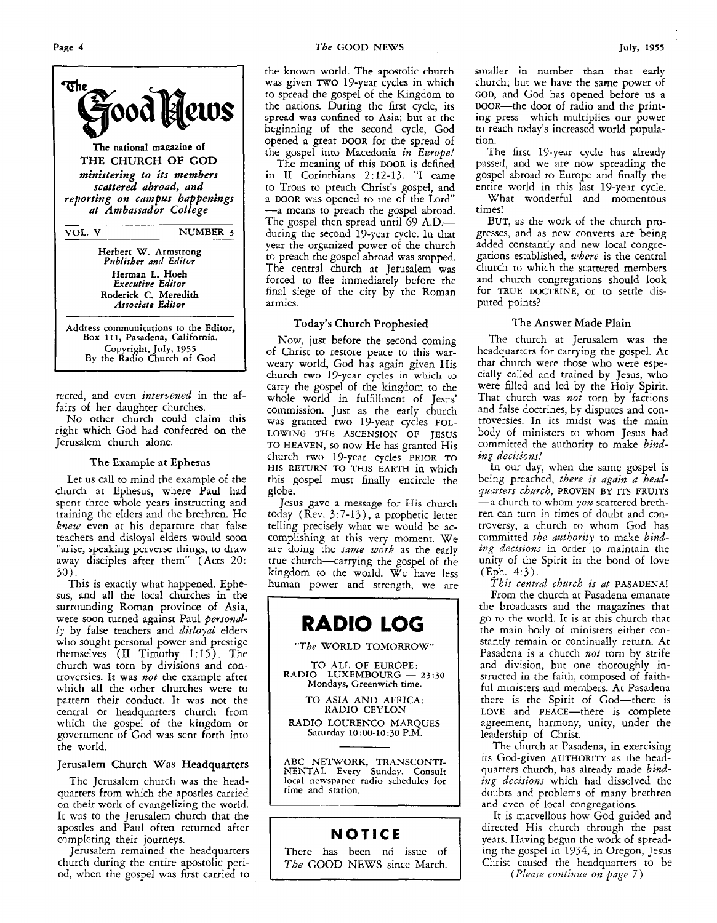

Address communications to the Editor, Box 111, Pasadena, California. Copyright, July, *<sup>1955</sup>* **By** the Radio Church **of** God

rected, and even *intervened* in the affairs of her daughter churches.

No othcr church could claim this right which God had conferred on the Jerusalem church alone.

#### **The** Example at **Bphesus**

Let us call to mind the example of the church at Ephesus, where Paul had spent three whole years instructing and training the elders and the brethren. He *knew* even at his departure that false teachers and disloyal elders would soon **"arise,** speaking perverse thirigs, to draw away disciples after them" (Acts 20: 30).

This is exactly what happened. Ephesus, and all the local churches in the surrounding Roman province of Asia, were soon turned against Paul *personally* by false teachers and *disloyal* elders who sought personal power and prestige themselves (I1 Timothy 1:15). The church was torn by divisions and controversies. It **was** *not* the example after which all the other churches were to pattern their conduct. It was not the central or headquarters church from which the gospel of the kingdom or government of God was sent forth into the world.

## Jerusalem Church Was Headquarters

The Jerusalem church was the headquarters from which the apostles carried **on** their work of evangelizing the world. It was to the Jerusalem church that the apostles and Paul often returned after ccmpleting their journeys.

Jerusalem remained the headquarters church during the entire apostolic period, when the gospel was first carried to

the known world. The **apostolic** church **was** given **TWO** 19-year cycles in which to spread the gospel of the Kingdom to the nations. During the first cycle, its spread was confined to Asia; but **at the**  beginning of the second cycle, *God*  opened a great DOOR for the spread of the gospel into Macedonia *in Europe!* 

The meaning of this **DOOR** is defined in I1 Corinthians 2:12-13. "I came to Troas to preach Christ's gospel, and a DOOR was opened to me of the Lord" -a means to preach the gospel abroad. The gospel then spread until 69 A.D.during the second 19-year cycle. In that year the organized power of the church to preach the gospel abroad was stopped. The central church at Jerusalem was forced to flee immediately before the final siege of the city by the Roman armies.

### Today's Church Prophesied

Now, just before the second coming of Christ to restore peace to this warweary world, God has again given His church **two** 19-year cycles in which to carry the gospel of the kingdom to the whole world in fulfillment of Jesus' commission. Just as the early church was granted two 19-year cycles FOL-TO HEAVEN, so now He has granted His church two 19-year cycles PRIOR TO HIS RETURN TO THIS EARTH in which this gospel must finally encircle the globe. LOWING THE ASCENSION OF JESUS

Jesus gave a message for His church today (Rev. 3:7-13), **a** prophetic letter telling precisely what we would be accomplishing at this very moment. We are dving the *same work* as the early true church-carrying the gospel of the kingdom to the world. We have less human power and strength, we are



## **NOTICE**

There has been no issue of *The* GOOD NEWS since March. smaller in number than that early church; but we have the same power of GOD, and God has opened before us a DOOR-the door of radio and the printing press-which multiplies our power to reach today's increased world population.

The first 19-year cycle has already passed, and we are now spreading the gospel abroad to Europe and finally the entire world in this last 19-year cycle. What wonderful and momentous times!

BUT, as the work of the church progresses, and as new converts are being added constantly and new local congregations established, *where* is the central church to which the scattered members and church congregations should look for **TRUE** DOCTRINE, or to settle disputed points?

## The Answer Made Plain

The church at Jerusalem was the headquarters for carrying the gospel. At that church were those who were especially called and trained by Jesus, who were filled and led by the Holy Spirit. That church was *not* torn by factions and false doctrines, by disputes and controversies. In its midst was the main body of ministers to whom Jesus had committed the authority to make *binding decisions!* 

In our day, when the same gospel is being preached, *there is again a headquarters church,* PROVEN *BY* ITS FRUITS -a church to whom *yoa* scattered brethren can turn in times of doubt and controversy, a church to whom God has committed *the authority* to make *binding decisions* in order to maintain the unity of the Spirit in the bond of love (Eph. 4:3).

*This central church is at* PASADENA! From the church at Pasadena emanate the broadcasts and the magazines that go to the world. It is at this church that the main body of ministers either constantly remain or continually return. At Pasadena is a church *not* torn by strife and division, but one thoroughly instructed in the faith, composed of faithful ministers and members. At Pasadena there is the Spirit of God-there is LOVE and PEACE-there is complete agreement, harmony, unity, under the leadership of Christ.

The church at Pasadena, in exercising its God-given AUTHORITY as the headquarters church, has already made *binding decisions* which had dissolved the doubts and problems of many brethren and cvcn of local congrcgations.

It is marvellous how God guided and directed His church through the past years. Having begun the work of spreading the gospel in 1954, in Oregon, Jesus Christ caused the headquarters to be *(Please continue on pnge 7)*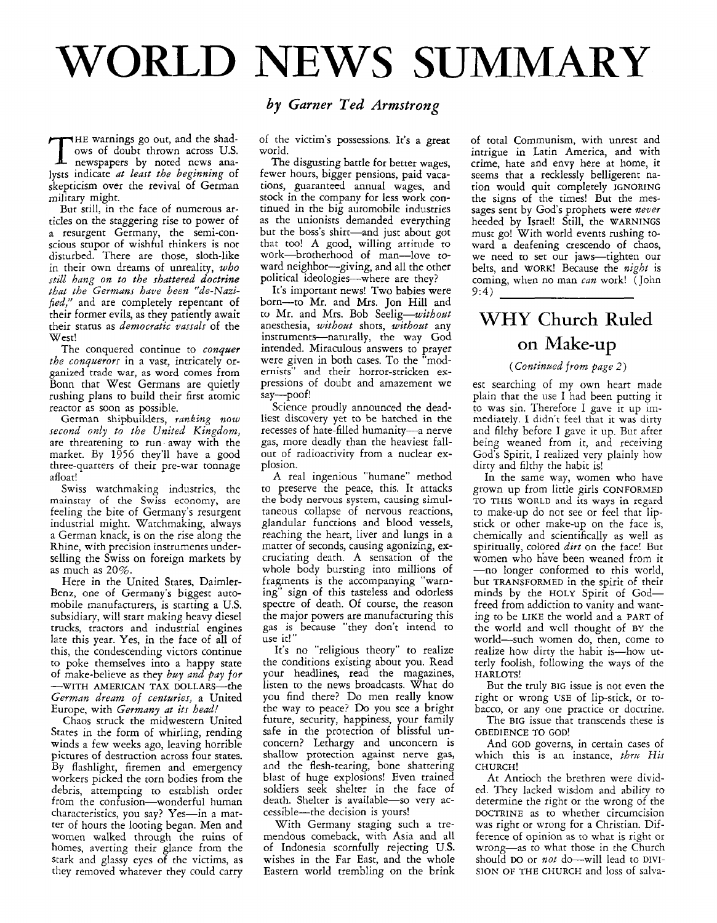## WORLD NEWS **SUMMARY**

THE warnings go out, and the shad-<br>ows of doubt thrown across U.S.<br>newspapers by noted ncws ana-<br>lusts indicate at least the heginning of lysts indicate *at least the beginning* of skepticism over the revival of German military might.

But still, in the face of numerous articles on the staggering rise to power of a resurgent Germany, the semi-conscious stupor of wishful thinkers is not disturbed. There are those, sloth-like in their own dreams of unreality, *who still hang on to the shattered doctrine that the Germans have been "de-Nazi-Fed,''* and are completely repentant of their former evils, as they patiently await their status as *democratic vassals* of the West!

The conquered continue to *conquer the conquerors* in a vast, intricately organized trade war, as word comes from Bonn that West Germans are quietly rushing plans to build their first atomic reactor as soon as possible.

German shipbuilders, *ranking now second only to the United Kingdom,*  are threatening to run. away with the market. By 1956 they'll have a good three-quarters of their pre-war tonnage afloat!

Swiss watchmaking industries, the mainstay of the Swiss economy, are feeling the bite of Germany's resurgent industrial might. Watchmaking, always a German knack, is on the rise along the Rhine, with precision instruments underselling the Swiss on foreign markets by as much as 20%.

Here in the United States, Daimler-Benz, one of Germany's biggest automobile manufacturers, is starting **a US.**  subsidiary, will start making heavy diesel trucks, tractors and industrial engines late this year. Yes, in the face of all of this, the condescending victors continue to poke themselves into a happy state of make-believe as they *buy and pay for Germnn dream of centuries,* a United Europe, with *Germany at its head!*  -WITH AMERICAN TAX DOLLARS-the

Chaos struck the midwestern United States in the form of whirling, rending winds a few weeks ago, leaving horrible pictures of destruction across four states. By flashlight, firemen and emergency workers picked the torn bodies from the debris, attempting to establish order from the confusion-wonderful human characteristics, you say? Yes-in a matter of hours the looting began. Men and women walked through the ruins of homes, averting their glance from the stark and glassy eyes of the victims, as they removed whatever they could carry

## *by Garner Ted Armstrong*

of the victim's possessions. It's a great world.

The disgusting battle for better wages, fewer hours, bigger pensions, paid vacations, guaranteed annual wages, and stock in the company for less work continued in the big automobile industries as the unionists demanded everything but the boss's shirt-and just about got that too! A good, willing attitude to work-brotherhood of man-love toward neighbor-giving, and all the other political ideologies-where are they?

It's important news! Two babies were born-to Mr. and Mrs. Jon Hill and to Mr. and Mrs. Bob Seelig—*without* anesthesia, *without* shots, *without* any instruments-naturally, the way God intended. Miraculous answers to prayer were given in both cases. To the "modernists" and their horror-stricken expressions of doubt and amazement we say-poof!

Science proudly announced the deadliest discovery yet to be hatched in the recesses of hate-filled humanity-a nerve gas, more deadly than the heaviest fallout of radioactivity from a nuclear explosion.

A real ingenious "humane" method to preserve the peace, this. It attacks the body nervous system, causing simultaneous collapse of nervous reactions, glandular functions and blood vessels, reaching the heart, liver and lungs in a matter of seconds, causing agonizing, excruciating death. **A** sensation of the whole body bursting into millions of fragments is the accompanying "warning" sign of this tasteless and odorless spectre of death. Of course, the reason the major powers are manufacturing this gas is because "they don't intend to use it!"

It's no "religious theory" to realize the conditions existing about you. Read your headlines, read the magazines, listen to the news broadcasts. What do you find there? Do men really know the way to peace? Do you see a bright future, security, happiness, your family safe in the protection of blissful unconcern? Lethargy and unconcern is shallow protection against nerve gas, and the flesh-tearing, bone shattering blast of huge explosions! Even trained soldiers seek shelter in the face of death. Shelter is available-so very accessible----the decision is yours!

With Germany staging such a tremendous comeback, with Asia and all of Indonesia scornfully rejecting U.S. wishes in the Far East, and the whole Eastern world trembling on the brink of total Communism, with unrest and intrigue in Latin America, and with crime, hate and envy here at home, it seems that a recklessly belligerent nation would quit completely IGNORING the signs of the times! But the messages sent by God's prophets were *never*  heeded by Israel! Still, the WARNINGS must go! With world events rushing toward a deafening crescendo of chaos, we need to set our jaws-tighten our belts, and **WORK!** Because rhe *night* is coming, when no man *can* work! (John *9:4)* 

## WHY Church Ruled on Make-up

## ( *Continued from page 2)*

est searching of my own heart made plain that the use I had been putting it to was sin. Therefore I gave it up immediately. I didn't feel that it was dirty and filthy before I gave it up. But after being weaned from it, and receiving God's Spirit, I realized very plainly how dirty and filthy the habit is!

In the same way, women who have grown up from little girls CONFORMED TO THIS WORLD and its ways in regard to make-up do not see or feel that lipstick or other make-up on the face is, chemically and scientifically as well as spiritually, colored *dirt* on the face! But women who have been weaned from it -no longer conformed to this world, but TRANSFORMED in the spirit of their minds by the HOLY Spirit of Godfreed from addiction to vanity and wanting to be LIKE the world and a PART of the world and wcll thought of BY the world-such women do, then, come to realize how dirty the habit is-how utterly foolish, following the ways of the HARLOTS!

But the truly BIG issue is not even the right or wrong USE of lip-stick, or tobzcco, or any one practice or doctrine.

The BIG issue that transcends these is GBEDIENCE TO GOD!

And GOD governs, in certain cases of which this is an instance, *thru His*  CHURCH!

At Antioch the brethren were divided. They lacked wisdom and ability to determine the right or the wrong of the DOCTRINE as to whether circumcision was right or wrong for a Christian. Difference of opinion as to what is right or wrong-as to what those in the Church should DO or *not* do—will lead to DIVI-SION OF THE CHURCH and loss of salva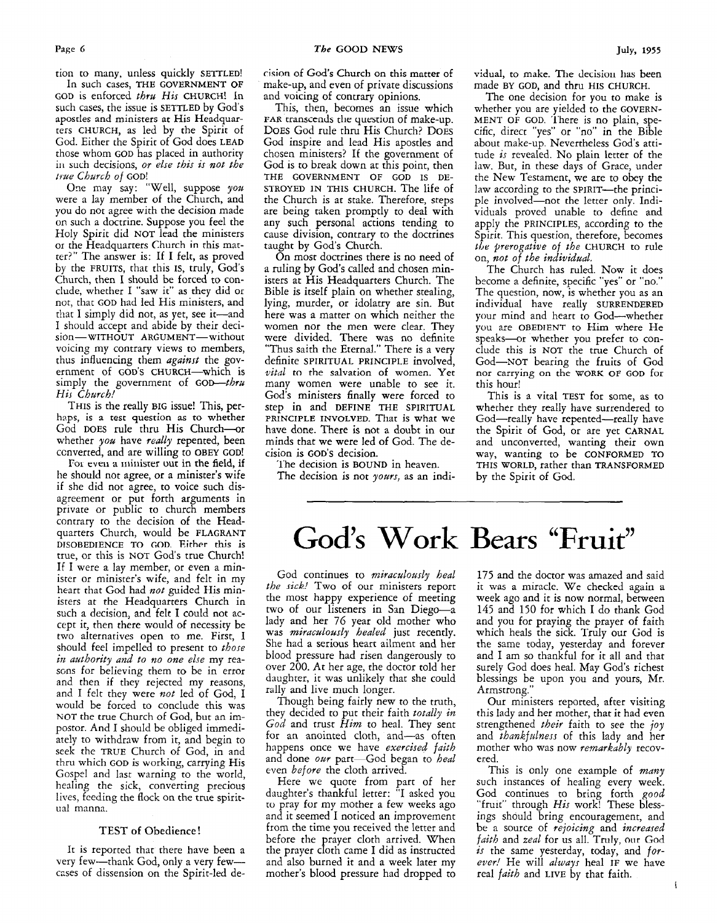tion to many, unless quickly SETTLED!

In such cases, THE GOVERNMENT OF GOD is enforced *thru His* CHURCH! In such cases, the issue is SETTLED by God's apostles and ministers at His Headquarters CHURCH, as led by the Spirit of God. Either the Spirit of God does LEAD those whom GOD has placed in authority in such decisions, or else this is not the *true Church of* GOD!

One may say: "Well, suppose *you*  were a lay member of the Church, and you do not agree with the decision made on such a doctrine. Suppose you feel the Holy Spirit did NOT lead the ministers **01** the Headquarters Church in this matter?" The answer is: If I felt, as proved by the FRUITS, that this IS, truly, God's Church, then I should be forced to conclude, whether I "saw it" as they did or not, that GOD had led His ministers, and that I simply did not, as yet, see it-and **I** should accept and abide by their decision-wITHOUT ARGUMENT-without voicing my contrary views to members, thus influencing them *against* the government of GOD'S CHURCH-which is simply the government of GOD-thru *His Church!* 

THIS is the really BIG issue! This, perhaps, is a test question as to whether God DOES rule thru His Church-or whether *you* have *really* repented, been ccnverted, and are willing to OBEY GOD!

Toi **~cii a** rriiiiister **uut** in rhe field, **if**  he should not agree, or a minister's wife if she did not agree, to voice such disagreement or put forth arguments in private or public to church members contrary to the decision of the Headquarters Church, would be FLAGRANT DISOBEDIENCE TO **CX)D** Either this **is**  true, or this is NOT God's true Church! If I were a lay member, or even a minister or minister's wife, and felt in my heart that God had *not* guided His ministers at the Headquarters Church in such a decision, and felt I could not accept it, then there would of necessity be two alternatives open to me. First, I should feel impelled to present to *those in authority and to no one else* my reasons for believing them to be in error and then if they rejected my reasons, and I felt they were *not* led of God, I would be forced to conclude this was NOT the true Church of God, but an impostor. And I should be obliged immediately to withdraw from it, and begin to seek the TRUE Church of God, in and thru which GOD is working, carrying His Gospel and last warning to the world, healing the sick, converting precious lives, feeding the flock on the true spiritual manna.

## TEST **of** Obedience!

It is reported that there have been a very few---thank God, only a very few--czses of dissension on the Spirit-led de**cikn** of *God's* Church on this matter of make-up, and even of private discussions and voicing of contrary opinions.

This, then, becomes an issue which **PAR** transccnds tlir qurscion of make-up. DOES God rule thru His Church? DOES God inspire and lead His apostles and chcsen ministers? If the government of God is to break down at this point, then STROYED IN THIS CHURCH. The life of the Church is at stake. Therefore, steps are being taken promptly to deal with any such personal actions tending to cause division, contrary to the doctrines taught by God's Church. THE GOVERNMENT OF GOD IS DE-

On most doctrines there is no need of a ruling by God's called and chosen ministers at His Headquarters Church. The Bible is itself plain on whether stealing, lying, murder, or idolatry are sin. But here was a matter on which neither the women nor the men were clear. They were divided. There was no definite "Thus saith the Eternal." There is a very definite SPIRITUAL PRINCIPLE involved, vital to the salvation of women. Yet many women were unable to see it. God's ministers finally were forced to step in and DEFINE THE SPIRITUAL have done. There is not a doubt in our minds that we were led of God. The decision is GOD'S decision. PRINCIPLE INVOLVED. That iS what We

'l'he decision **is** BOUND in heaven.

The decision is not *yours,* **as** an indi-

vidual, to make. The decision has been made BY GOD, and thru HIS CHURCH.

The one decision for you to make is whether you are yielded to the GOVERN-MENT OF GOD. 'l'here is no plain, specific, direct "yes" or "no" in the Bible about make-up. Nevertheless God's attitude *is* revealed. No plain letter of the law. But, in these days of Grace, under the New Testament, we are to obey the law according to the SPIRIT-the principle involved-not the letter only. Individuals proved unable to define and apply the PRINCIPLES, according to the Spirit. This question, therefore, becomes *t/Je prerogutive of the* CHURCH to rule on, *not* of *the individual.* 

The Church has ruled. Now it does become a definite, specific "yes" or "no." The question, now, is whether you as an individual have really SURRENDERED your mind and heart to God-whether you are OBEDIENT to Him where He speaks-or whether you prefer to conclude this is NOT the true Church of God-NOT bearing the fruits of God nor carrying **on** the WORK OF GOD for this hour!

This is a vital TEST for some, as to whether they really have surrendered to God-really have repented-really have the Spirit of God, or are yet CARNAL and unconverted, wanting their own way, wanting to be CONFORMED To THIS WORLD, rather than TRANSFORMED by the Spirit of God.

God's **Work Bears** "Fruit"

God continues to *miraculously heal the sicb?* Two of our ministers report the most happy experience of meeting two of our listeners in San Diego-a lady and her 76 year old mother who was *miraculously healed* just recently. She had a serious heart ailment and her blood pressure had risen dangerously to over 200. At her age, the doctor told her daughter, it was unlikely that she could rally and live much longer.

Though being fairly new to the truth, they decided to put their faith *totdly in God* and trust *Him* to heal. They sent for an anointed cloth, and-as often happens once we have *exercised faith*  and done *oar* part-God began to *heal*  even *before* the cloth arrived.

Here we quote from part of her daughter's thankful letter: "I asked you to pray for my mother a few weeks ago and it seemed I noticed an improvement from the time you received the letter and before the prayer cloth arrived. When the prayer cloth came I did as instructed and also burned it and a week later my mother's blood pressure had dropped to

175 and the doctor was amazed and said it **was** a rnirzcle. We checked again **a**  week ago and it is now normal, between 145 and 150 for which I do thank God and you for praying the prayer of faith which heals the sick. Truly our God is the same today, yesterday and forever and I am so thankful for it all and that surely God does heal. May God's richest blessings be upon you and yours, Mr. Armstrong."

Our ministers reported, after visiting this lady and her mother, that it had even strengthened *their* faith to see the *joy*  and *thankfulness* of this lady and her mother who was now *remarkably* recovered.

This is only one example of *many* such instances of healing every week. God continues to bring forth *good*  "fruit" through *His* work! These blessings should bring encouragement, and be a source of *rejoicing* and *increased faith* and *zeal* for us all. Truly, our God *is* the same yesterday, today, and *forever!* He will *always* heal IF we have real *faith* and LIVE by that faith.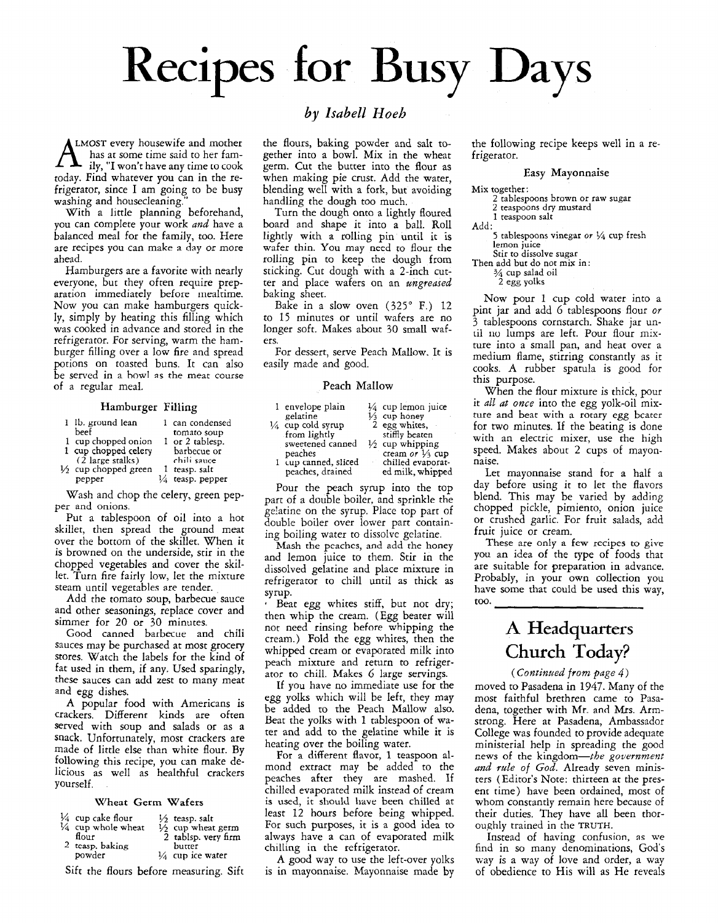# **Recipes for** Busv **Days**

LMOST every housewife and mother<br>has at some time said to her fam-<br>ily, "I won't have any time to cook<br>coday Find whatever way on in the to today. Find whatever you can in the refrigerator, since I am going to be busy washing and housecleaning.

With a little planning beforehand, you can complete your work *and* have **a**  balanced meal for the family, too. Here are recipes you can make a day or more ahead.

Hamburgers are a favorite with nearly everyone, but they often require preparation immediately before mealtime. Now you can make hamburgers quickly, simply by heating this filling which was cooked in advance and stored in the refrigerator. For serving, warm the hamburger filling over a low fire and spread potions on toasted buns. It can also be served in a bowl *as* the meat course of **a** regular meal.

## Hamburger Filling

| 1 lb. ground lean          | 1 | can condensed   |
|----------------------------|---|-----------------|
| beef                       |   | tomato soup     |
| 1 cup chopped onion        |   | 1 or 2 tablesp. |
| 1 cup chopped celery       |   | barbecue or     |
| $(2 \text{ large stalls})$ |   | chili sauce     |
| $1/2$ cup chopped green    |   | teasp. salt     |
| pepper                     |   | teasp. pepper   |

Wash and chop the celery, green pepper and onions.

Put a tablespoon of oil into a hot skillet, then spread the ground meat over the bottom of the skillet. When it is browned on the underside, stir in the chopped vegetables and cover the skillet. Turn fire fairly low, let the mixture steam until vegetables are tender.

Add the tomato soup, barbecue sauce and other seasonings, replace cover and simmer for 20 or 30 minutes.

Good canned barbecue and chili sauces may be purchased at most grocery stores. Watch the labels for the kind of fat used in them, if any. Used sparingly, these sauces can add zest to many meat and egg dishes.

A popular food with Americans is crackers. Different kinds are often served with soup and salads or as a snack. Unfortunately, most crackers are made of little else than white flour. By following this recipe, you can make delicious as well as healthful crackers yourself.

#### **Wheat Germ Wafers**

| $\frac{1}{4}$ cup cake flour<br>1/4 cup whole wheat | $\frac{1}{2}$ teasp. salt<br>$\frac{1}{2}$ cup wheat germ |
|-----------------------------------------------------|-----------------------------------------------------------|
| flour<br>2 teasp. baking                            | 2 tablsp. very firm<br>butter                             |
| powder                                              | $\frac{1}{4}$ cup ice water                               |
|                                                     |                                                           |

Sift the flours before measuring. Sift

## *by Isabel1 Hoeh*

the flours, baking powder and salt together into **a** bowl. Mix in the wheat germ. Cut the butter into the flour as when making pie crust. Add the water, blending well with a fork, but avoiding handling the dough too much.

Turn the dough onto a lightly floured board and shape it into a ball. Roll lightly with a rolling pin until it is wafer thin. You may need to flour the rolling pin to keep the dough from sticking. Cut dough with **a** 2-inch Cutter and place wafers on an *ungreased*  baking sheet.

Bake in a slow oven *(325"* F.) 12 to 15 minutes or until wafers are no longer soft. Makes about 30 small wafers.

For dessert, serve Peach Mallow. It is easily made and good.

#### Peach Mallow

| 1 envelope plain             | $\frac{1}{4}$ cup lemon juice |
|------------------------------|-------------------------------|
| gelatine                     | $\frac{1}{3}$ cup honey       |
| $\frac{1}{4}$ cup cold syrup | 2 egg whites,                 |
| from lightly                 | stiffly beaten                |
| sweetened canned             | $\frac{1}{2}$ cup whipping    |
| peaches                      | cream or $\frac{1}{3}$ cup    |
| 1 cup canned, sliced         | chilled evaporat-             |
| peaches, drained             | ed milk, whipped              |

Pour the peach syrup into the top part of a double boiler, and sprinkle the gelatine on the syrup. Piace top part of double boiler over lower part containing boiling water to dissolve gelatine.

Mash the pcachcs, and add the honey and lemon juice to them. Stir in the dissolved gelatine and place mixture in refrigerator to chill until as thick **as**  syrup.

Beat egg whites stiff, but not dry; then whip the cream. (Egg beater will not need rinsing before whipping the cream.) Fold the egg whites, then the whipped cream or evaporated milk into peach mixture and return to refrigerator to chill. Makes 6 large servings.

If you have no immediate use for the egg yolks which will be left, they may be added to the Peach Mallow also. Beat the yolks with 1 tablespoon of **wa**ter and add to the gelatine while it is heating over the boiling water.

For a different flavor, 1 teaspoon almond extract may be added to the peaches after they are mashed. If chilled evaporated milk instead of cream *is* used, **it** should have been chilled at least 12 hours before being whipped. For such purposes, it is a good idea to always have **a** can of evaporated milk chilling in the refrigerator.

A good way to use the left-over yolks is in mayonnaise. Mayonnaise made by the following recipe keeps well in **a** refrigerator.

#### Easy Mayonnaise

| Mix together:                   |  |  |
|---------------------------------|--|--|
| 2 rablespoons brown or raw suga |  |  |

**2** tablespoons brown or raw sugar 2 teaspoons dry mustard

**1** teaspoon salt

Add:

*<sup>5</sup>*tablespoons vinegar *or* **Y4** cup fresh lemon **juice** 

Stir to dissolve sugar Then add but do not mix in:

*3/4* cup salad oil 2 egg yolks

Now pour 1 cup cold water into a pint jar and add 6 tablespoons flour *or 3* tablespoons cornstarch. Shake jar until **110** lumps are left. Pour flour mixture into a small pan, and heat over a medium flame, stirring constantly as it cooks. **A** rubber spatula is good for this purpose.

When the flour mixture is thick, pour it *all at once* into the egg yolk-oil mixture and beat with **a** rotary egg bcater for two minutes. If the beating is done with an electric mixer, use the high speed. Makes about 2 cups of mayonnaise.

Let mayonnaise stand for a half a day before using it to let the flavors blend. This may be varied by adding chopped pickle, pimiento, onion juice or crushed garlic. For fruit salads, add fruit juice or cream.

These are only a few recipes to give you an idea of the type of foods that are suitable for preparation in advance. Probably, in your own collection you have some that could be used this way, too.

## **A Headauarters <sup>1</sup>** Church Today?

(Continued *from* page *4)* 

moved to Pasadena in 1947. Many of the most faithful brethren came to Pasadena, together with Mr. and **Mrs.** Armstrong. Here at Pasadena, Ambassador College was founded to provide adequate ministerial help in spreading the good Cews of the kingdom-the *government and rule* of *God.* Already seven ministers (Editor's Note: thirteen at the present time) have been ordained, most of whom constantly remain here because of their duties. They have **all** been thorouahly trained in the TRUTH.

Instead of having confusion, **as** we find in so many denominations, God's way is **a** way of love and order, a way of obedience to His will as He reveals